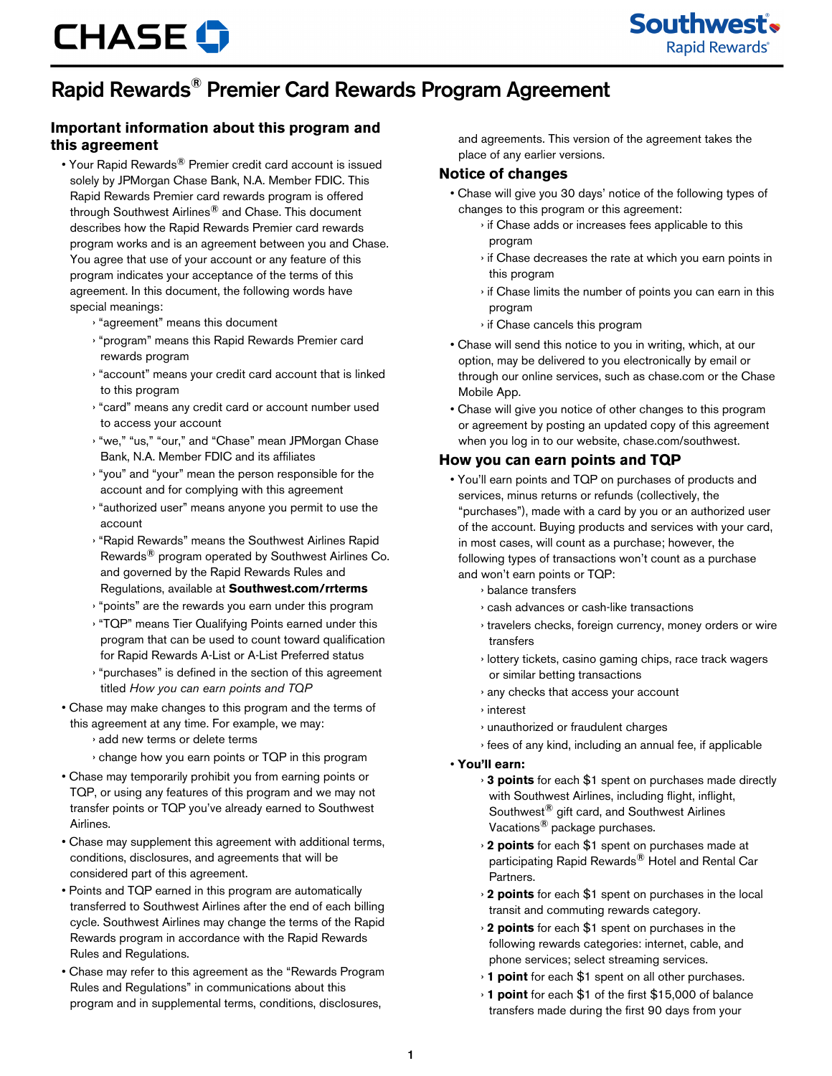Southwest's **Rapid Rewards**®

## Rapid Rewards® Premier Card Rewards Program Agreement

## **Important information about this program and this agreement**

- Your Rapid Rewards® Premier credit card account is issued solely by JPMorgan Chase Bank, N.A. Member FDIC. This Rapid Rewards Premier card rewards program is offered through Southwest Airlines® and Chase. This document describes how the Rapid Rewards Premier card rewards program works and is an agreement between you and Chase. You agree that use of your account or any feature of this program indicates your acceptance of the terms of this agreement. In this document, the following words have special meanings:
	- › "agreement" means this document
	- › "program" means this Rapid Rewards Premier card rewards program
	- › "account" means your credit card account that is linked to this program
	- › "card" means any credit card or account number used to access your account
	- › "we," "us," "our," and "Chase" mean JPMorgan Chase Bank, N.A. Member FDIC and its affiliates
	- › "you" and "your" mean the person responsible for the account and for complying with this agreement
	- › "authorized user" means anyone you permit to use the account
	- › "Rapid Rewards" means the Southwest Airlines Rapid Rewards® program operated by Southwest Airlines Co. and governed by the Rapid Rewards Rules and Regulations, available at **Southwest.com/rrterms**
	- › "points" are the rewards you earn under this program
	- › "TQP" means Tier Qualifying Points earned under this program that can be used to count toward qualification for Rapid Rewards A-List or A-List Preferred status
	- › "purchases" is defined in the section of this agreement titled *How you can earn points and TQP*
- Chase may make changes to this program and the terms of this agreement at any time. For example, we may:
	- › add new terms or delete terms
	- › change how you earn points or TQP in this program
- Chase may temporarily prohibit you from earning points or TQP, or using any features of this program and we may not transfer points or TQP you've already earned to Southwest Airlines.
- Chase may supplement this agreement with additional terms, conditions, disclosures, and agreements that will be considered part of this agreement.
- Points and TQP earned in this program are automatically transferred to Southwest Airlines after the end of each billing cycle. Southwest Airlines may change the terms of the Rapid Rewards program in accordance with the Rapid Rewards Rules and Regulations.
- Chase may refer to this agreement as the "Rewards Program Rules and Regulations" in communications about this program and in supplemental terms, conditions, disclosures,

and agreements. This version of the agreement takes the place of any earlier versions.

#### **Notice of changes**

- Chase will give you 30 days' notice of the following types of changes to this program or this agreement:
	- › if Chase adds or increases fees applicable to this program
	- › if Chase decreases the rate at which you earn points in this program
	- › if Chase limits the number of points you can earn in this program
	- › if Chase cancels this program
- Chase will send this notice to you in writing, which, at our option, may be delivered to you electronically by email or through our online services, such as chase.com or the Chase Mobile App.
- Chase will give you notice of other changes to this program or agreement by posting an updated copy of this agreement when you log in to our website, chase.com/southwest.

## **How you can earn points and TQP**

- You'll earn points and TQP on purchases of products and services, minus returns or refunds (collectively, the "purchases"), made with a card by you or an authorized user of the account. Buying products and services with your card, in most cases, will count as a purchase; however, the following types of transactions won't count as a purchase and won't earn points or TQP:
	- › balance transfers
	- › cash advances or cash-like transactions
	- › travelers checks, foreign currency, money orders or wire transfers
	- › lottery tickets, casino gaming chips, race track wagers or similar betting transactions
	- › any checks that access your account
	- › interest
	- › unauthorized or fraudulent charges
	- › fees of any kind, including an annual fee, if applicable
- **You'll earn:**
	- › **3 points** for each \$1 spent on purchases made directly with Southwest Airlines, including flight, inflight, Southwest® gift card, and Southwest Airlines Vacations® package purchases.
	- › **2 points** for each \$1 spent on purchases made at participating Rapid Rewards® Hotel and Rental Car Partners.
	- › **2 points** for each \$1 spent on purchases in the local transit and commuting rewards category.
	- › **2 points** for each \$1 spent on purchases in the following rewards categories: internet, cable, and phone services; select streaming services.
	- › **1 point** for each \$1 spent on all other purchases.
	- › **1 point** for each \$1 of the first \$15,000 of balance transfers made during the first 90 days from your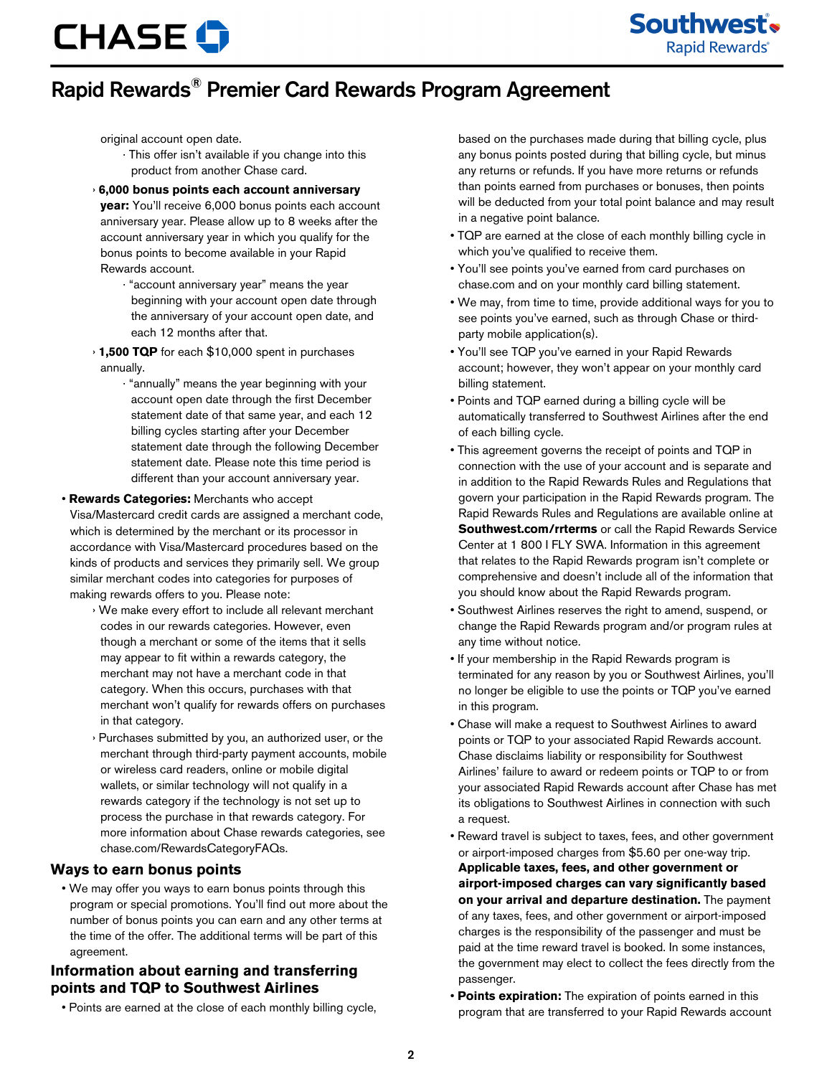Southwest's **Rapid Rewards**®

## Rapid Rewards® Premier Card Rewards Program Agreement

original account open date.

- · This offer isn't available if you change into this product from another Chase card.
- › **6,000 bonus points each account anniversary year:** You'll receive 6,000 bonus points each account anniversary year. Please allow up to 8 weeks after the account anniversary year in which you qualify for the bonus points to become available in your Rapid Rewards account.
	- · "account anniversary year" means the year beginning with your account open date through the anniversary of your account open date, and each 12 months after that.
- › **1,500 TQP** for each \$10,000 spent in purchases annually.
	- · "annually" means the year beginning with your account open date through the first December statement date of that same year, and each 12 billing cycles starting after your December statement date through the following December statement date. Please note this time period is different than your account anniversary year.

• **Rewards Categories:** Merchants who accept

Visa/Mastercard credit cards are assigned a merchant code, which is determined by the merchant or its processor in accordance with Visa/Mastercard procedures based on the kinds of products and services they primarily sell. We group similar merchant codes into categories for purposes of making rewards offers to you. Please note:

- › We make every effort to include all relevant merchant codes in our rewards categories. However, even though a merchant or some of the items that it sells may appear to fit within a rewards category, the merchant may not have a merchant code in that category. When this occurs, purchases with that merchant won't qualify for rewards offers on purchases in that category.
- › Purchases submitted by you, an authorized user, or the merchant through third-party payment accounts, mobile or wireless card readers, online or mobile digital wallets, or similar technology will not qualify in a rewards category if the technology is not set up to process the purchase in that rewards category. For more information about Chase rewards categories, see chase.com/RewardsCategoryFAQs.

#### **Ways to earn bonus points**

• We may offer you ways to earn bonus points through this program or special promotions. You'll find out more about the number of bonus points you can earn and any other terms at the time of the offer. The additional terms will be part of this agreement.

### **Information about earning and transferring points and TQP to Southwest Airlines**

• Points are earned at the close of each monthly billing cycle,

based on the purchases made during that billing cycle, plus any bonus points posted during that billing cycle, but minus any returns or refunds. If you have more returns or refunds than points earned from purchases or bonuses, then points will be deducted from your total point balance and may result in a negative point balance.

- TQP are earned at the close of each monthly billing cycle in which you've qualified to receive them.
- You'll see points you've earned from card purchases on chase.com and on your monthly card billing statement.
- We may, from time to time, provide additional ways for you to see points you've earned, such as through Chase or thirdparty mobile application(s).
- You'll see TQP you've earned in your Rapid Rewards account; however, they won't appear on your monthly card billing statement.
- Points and TQP earned during a billing cycle will be automatically transferred to Southwest Airlines after the end of each billing cycle.
- This agreement governs the receipt of points and TQP in connection with the use of your account and is separate and in addition to the Rapid Rewards Rules and Regulations that govern your participation in the Rapid Rewards program. The Rapid Rewards Rules and Regulations are available online at **Southwest.com/rrterms** or call the Rapid Rewards Service Center at 1 800 I FLY SWA. Information in this agreement that relates to the Rapid Rewards program isn't complete or comprehensive and doesn't include all of the information that you should know about the Rapid Rewards program.
- Southwest Airlines reserves the right to amend, suspend, or change the Rapid Rewards program and/or program rules at any time without notice.
- If your membership in the Rapid Rewards program is terminated for any reason by you or Southwest Airlines, you'll no longer be eligible to use the points or TQP you've earned in this program.
- Chase will make a request to Southwest Airlines to award points or TQP to your associated Rapid Rewards account. Chase disclaims liability or responsibility for Southwest Airlines' failure to award or redeem points or TQP to or from your associated Rapid Rewards account after Chase has met its obligations to Southwest Airlines in connection with such a request.
- Reward travel is subject to taxes, fees, and other government or airport-imposed charges from \$5.60 per one-way trip. **Applicable taxes, fees, and other government or airport-imposed charges can vary significantly based on your arrival and departure destination.** The payment of any taxes, fees, and other government or airport-imposed charges is the responsibility of the passenger and must be paid at the time reward travel is booked. In some instances, the government may elect to collect the fees directly from the passenger.
- **Points expiration:** The expiration of points earned in this program that are transferred to your Rapid Rewards account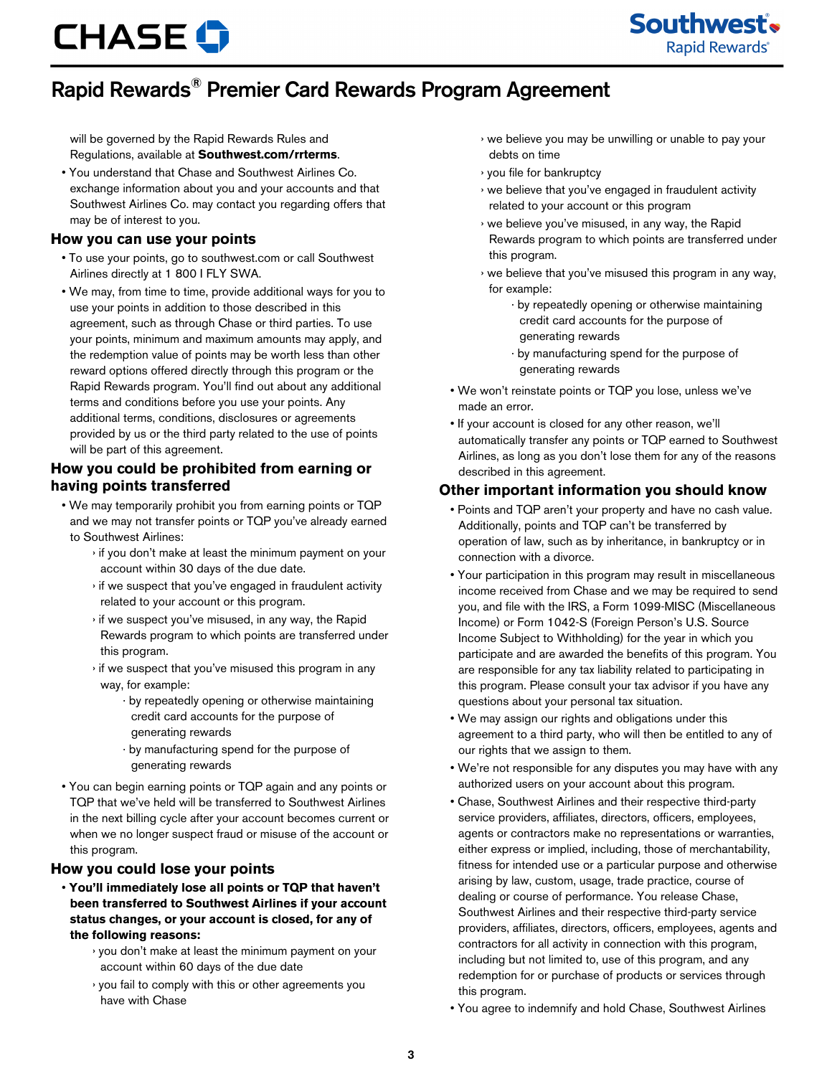## Rapid Rewards® Premier Card Rewards Program Agreement

will be governed by the Rapid Rewards Rules and Regulations, available at **Southwest.com/rrterms**.

• You understand that Chase and Southwest Airlines Co. exchange information about you and your accounts and that Southwest Airlines Co. may contact you regarding offers that may be of interest to you.

### **How you can use your points**

- To use your points, go to southwest.com or call Southwest Airlines directly at 1 800 I FLY SWA.
- We may, from time to time, provide additional ways for you to use your points in addition to those described in this agreement, such as through Chase or third parties. To use your points, minimum and maximum amounts may apply, and the redemption value of points may be worth less than other reward options offered directly through this program or the Rapid Rewards program. You'll find out about any additional terms and conditions before you use your points. Any additional terms, conditions, disclosures or agreements provided by us or the third party related to the use of points will be part of this agreement.

## **How you could be prohibited from earning or having points transferred**

- We may temporarily prohibit you from earning points or TQP and we may not transfer points or TQP you've already earned to Southwest Airlines:
	- › if you don't make at least the minimum payment on your account within 30 days of the due date.
	- › if we suspect that you've engaged in fraudulent activity related to your account or this program.
	- › if we suspect you've misused, in any way, the Rapid Rewards program to which points are transferred under this program.
	- › if we suspect that you've misused this program in any way, for example:
		- · by repeatedly opening or otherwise maintaining credit card accounts for the purpose of generating rewards
		- · by manufacturing spend for the purpose of generating rewards
- You can begin earning points or TQP again and any points or TQP that we've held will be transferred to Southwest Airlines in the next billing cycle after your account becomes current or when we no longer suspect fraud or misuse of the account or this program.

#### **How you could lose your points**

- **You'll immediately lose all points or TQP that haven't been transferred to Southwest Airlines if your account status changes, or your account is closed, for any of the following reasons:**
	- › you don't make at least the minimum payment on your account within 60 days of the due date
	- › you fail to comply with this or other agreements you have with Chase

› we believe you may be unwilling or unable to pay your debts on time

Southwest's

**Rapid Rewards**®

- › you file for bankruptcy
- › we believe that you've engaged in fraudulent activity related to your account or this program
- › we believe you've misused, in any way, the Rapid Rewards program to which points are transferred under this program.
- › we believe that you've misused this program in any way, for example:
	- · by repeatedly opening or otherwise maintaining credit card accounts for the purpose of generating rewards
	- · by manufacturing spend for the purpose of generating rewards
- We won't reinstate points or TQP you lose, unless we've made an error.
- If your account is closed for any other reason, we'll automatically transfer any points or TQP earned to Southwest Airlines, as long as you don't lose them for any of the reasons described in this agreement.

## **Other important information you should know**

- Points and TQP aren't your property and have no cash value. Additionally, points and TQP can't be transferred by operation of law, such as by inheritance, in bankruptcy or in connection with a divorce.
- Your participation in this program may result in miscellaneous income received from Chase and we may be required to send you, and file with the IRS, a Form 1099-MISC (Miscellaneous Income) or Form 1042-S (Foreign Person's U.S. Source Income Subject to Withholding) for the year in which you participate and are awarded the benefits of this program. You are responsible for any tax liability related to participating in this program. Please consult your tax advisor if you have any questions about your personal tax situation.
- We may assign our rights and obligations under this agreement to a third party, who will then be entitled to any of our rights that we assign to them.
- We're not responsible for any disputes you may have with any authorized users on your account about this program.
- Chase, Southwest Airlines and their respective third-party service providers, affiliates, directors, officers, employees, agents or contractors make no representations or warranties, either express or implied, including, those of merchantability, fitness for intended use or a particular purpose and otherwise arising by law, custom, usage, trade practice, course of dealing or course of performance. You release Chase, Southwest Airlines and their respective third-party service providers, affiliates, directors, officers, employees, agents and contractors for all activity in connection with this program, including but not limited to, use of this program, and any redemption for or purchase of products or services through this program.
- You agree to indemnify and hold Chase, Southwest Airlines